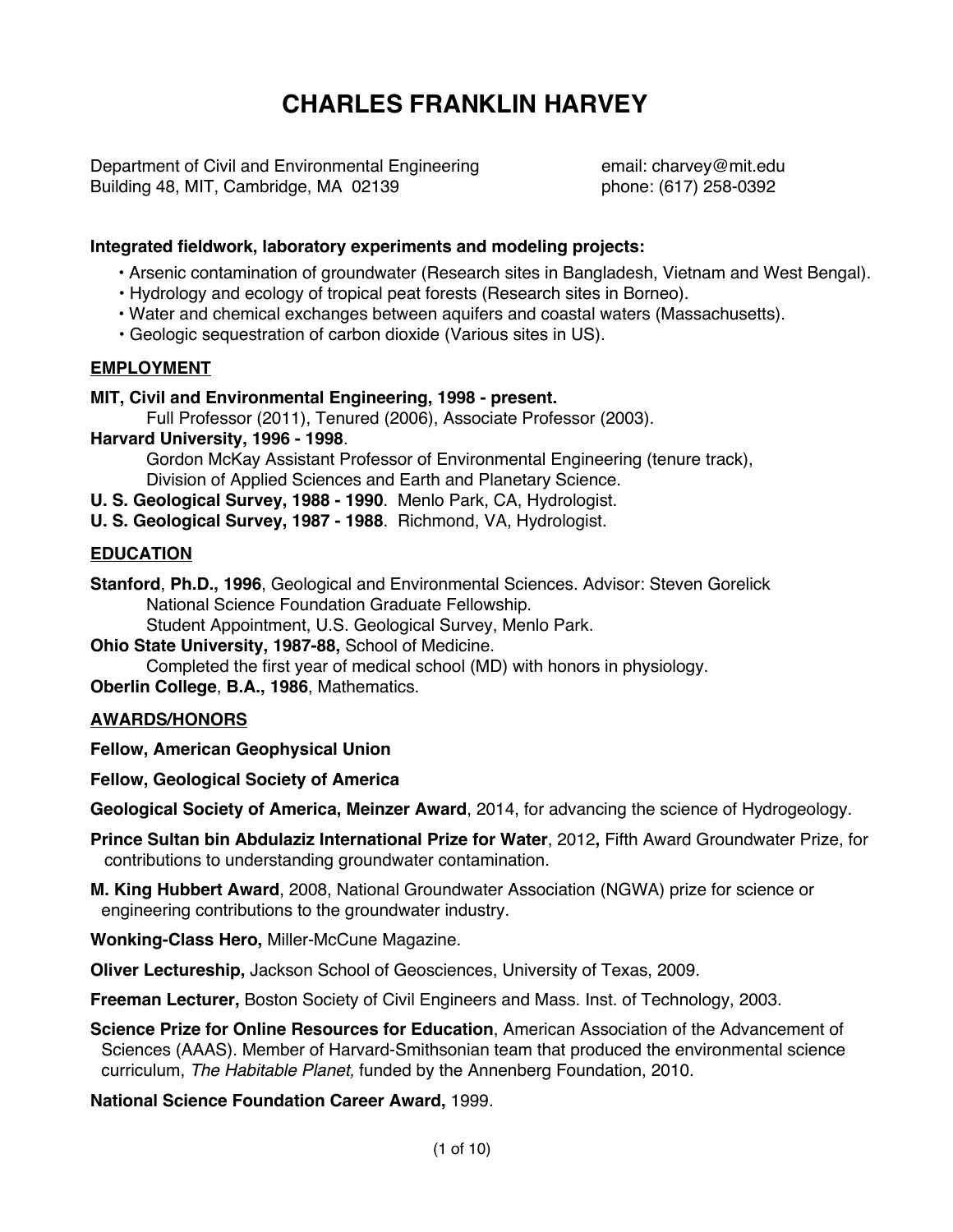# **CHARLES FRANKLIN HARVEY**

Department of Civil and Environmental Engineering email: charvey@mit.edu Building 48, MIT, Cambridge, MA 02139 **blook** phone: (617) 258-0392

## **Integrated fieldwork, laboratory experiments and modeling projects:**

- Arsenic contamination of groundwater (Research sites in Bangladesh, Vietnam and West Bengal).
- Hydrology and ecology of tropical peat forests (Research sites in Borneo).
- Water and chemical exchanges between aquifers and coastal waters (Massachusetts).
- Geologic sequestration of carbon dioxide (Various sites in US).

#### **EMPLOYMENT**

#### **MIT, Civil and Environmental Engineering, 1998 - present.**

Full Professor (2011), Tenured (2006), Associate Professor (2003).

#### **Harvard University, 1996 - 1998**.

 Gordon McKay Assistant Professor of Environmental Engineering (tenure track), Division of Applied Sciences and Earth and Planetary Science.

**U. S. Geological Survey, 1988 - 1990**. Menlo Park, CA, Hydrologist.

**U. S. Geological Survey, 1987 - 1988**. Richmond, VA, Hydrologist.

## **EDUCATION**

**Stanford**, **Ph.D., 1996**, Geological and Environmental Sciences. Advisor: Steven Gorelick National Science Foundation Graduate Fellowship.

Student Appointment, U.S. Geological Survey, Menlo Park.

**Ohio State University, 1987-88,** School of Medicine.

Completed the first year of medical school (MD) with honors in physiology.

**Oberlin College**, **B.A., 1986**, Mathematics.

## **AWARDS/HONORS**

**Fellow, American Geophysical Union**

**Fellow, Geological Society of America**

**Geological Society of America, Meinzer Award**, 2014, for advancing the science of Hydrogeology.

**Prince Sultan bin Abdulaziz International Prize for Water**, 2012**,** Fifth Award Groundwater Prize, for contributions to understanding groundwater contamination.

**M. King Hubbert Award**, 2008, National Groundwater Association (NGWA) prize for science or engineering contributions to the groundwater industry.

**Wonking-Class Hero,** Miller-McCune Magazine.

**Oliver Lectureship,** Jackson School of Geosciences, University of Texas, 2009.

**Freeman Lecturer,** Boston Society of Civil Engineers and Mass. Inst. of Technology, 2003.

**Science Prize for Online Resources for Education**, American Association of the Advancement of Sciences (AAAS). Member of Harvard-Smithsonian team that produced the environmental science curriculum, *The Habitable Planet,* funded by the Annenberg Foundation, 2010.

**National Science Foundation Career Award,** 1999.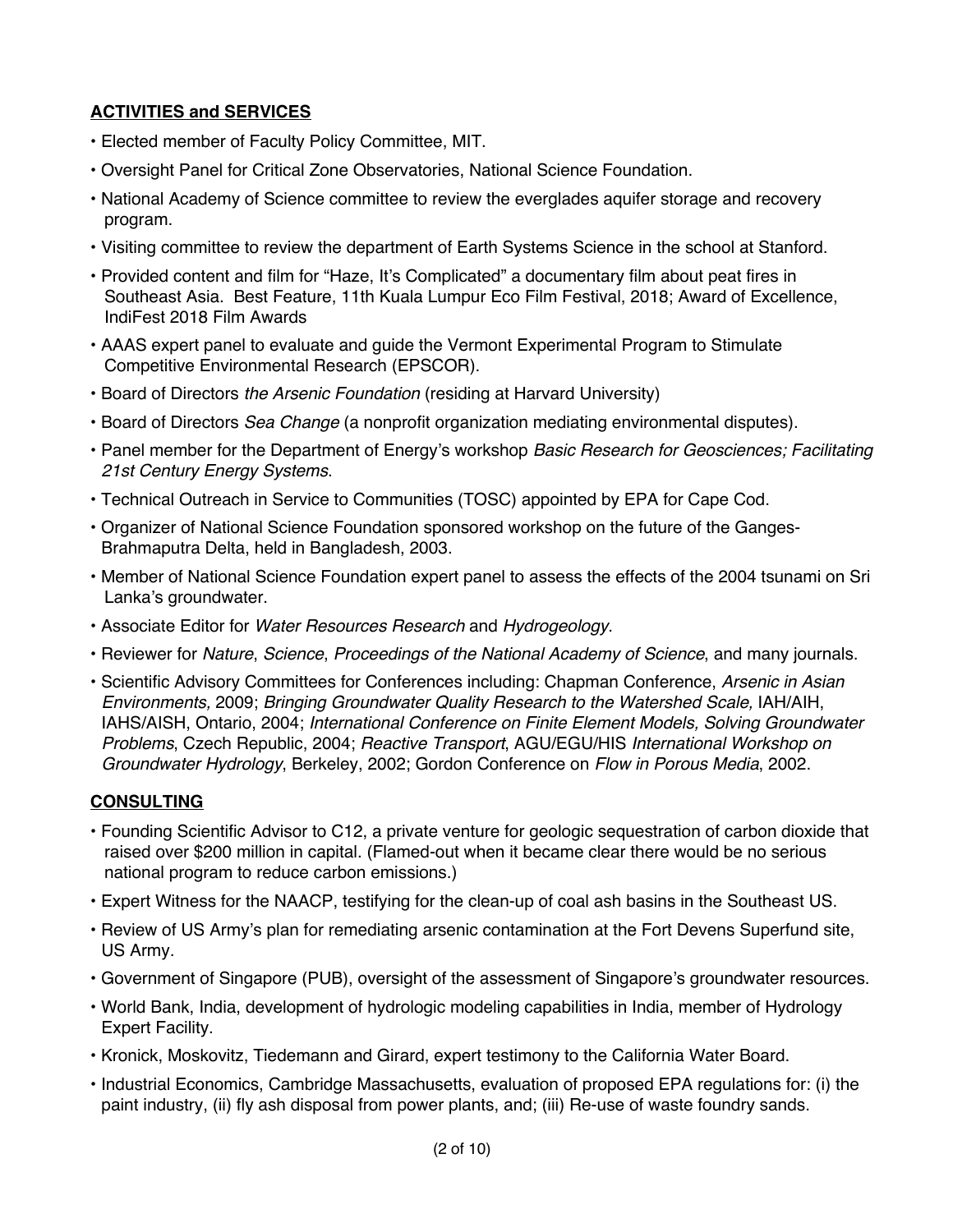# **ACTIVITIES and SERVICES**

- Elected member of Faculty Policy Committee, MIT.
- Oversight Panel for Critical Zone Observatories, National Science Foundation.
- National Academy of Science committee to review the everglades aquifer storage and recovery program.
- Visiting committee to review the department of Earth Systems Science in the school at Stanford.
- Provided content and film for "Haze, It's Complicated" a documentary film about peat fires in Southeast Asia. Best Feature, 11th Kuala Lumpur Eco Film Festival, 2018; Award of Excellence, IndiFest 2018 Film Awards
- AAAS expert panel to evaluate and guide the Vermont Experimental Program to Stimulate Competitive Environmental Research (EPSCOR).
- Board of Directors *the Arsenic Foundation* (residing at Harvard University)
- Board of Directors *Sea Change* (a nonprofit organization mediating environmental disputes).
- Panel member for the Department of Energy's workshop *Basic Research for Geosciences; Facilitating 21st Century Energy Systems*.
- Technical Outreach in Service to Communities (TOSC) appointed by EPA for Cape Cod.
- Organizer of National Science Foundation sponsored workshop on the future of the Ganges-Brahmaputra Delta, held in Bangladesh, 2003.
- Member of National Science Foundation expert panel to assess the effects of the 2004 tsunami on Sri Lanka's groundwater.
- Associate Editor for *Water Resources Research* and *Hydrogeology*.
- Reviewer for *Nature*, *Science*, *Proceedings of the National Academy of Science*, and many journals.
- Scientific Advisory Committees for Conferences including: Chapman Conference, *Arsenic in Asian Environments,* 2009; *Bringing Groundwater Quality Research to the Watershed Scale,* IAH/AIH, IAHS/AISH, Ontario, 2004; *International Conference on Finite Element Models, Solving Groundwater Problems*, Czech Republic, 2004; *Reactive Transport*, AGU/EGU/HIS *International Workshop on Groundwater Hydrology*, Berkeley, 2002; Gordon Conference on *Flow in Porous Media*, 2002.

## **CONSULTING**

- Founding Scientific Advisor to C12, a private venture for geologic sequestration of carbon dioxide that raised over \$200 million in capital. (Flamed-out when it became clear there would be no serious national program to reduce carbon emissions.)
- Expert Witness for the NAACP, testifying for the clean-up of coal ash basins in the Southeast US.
- Review of US Army's plan for remediating arsenic contamination at the Fort Devens Superfund site, US Army.
- Government of Singapore (PUB), oversight of the assessment of Singapore's groundwater resources.
- World Bank, India, development of hydrologic modeling capabilities in India, member of Hydrology Expert Facility.
- Kronick, Moskovitz, Tiedemann and Girard, expert testimony to the California Water Board.
- Industrial Economics, Cambridge Massachusetts, evaluation of proposed EPA regulations for: (i) the paint industry, (ii) fly ash disposal from power plants, and; (iii) Re-use of waste foundry sands.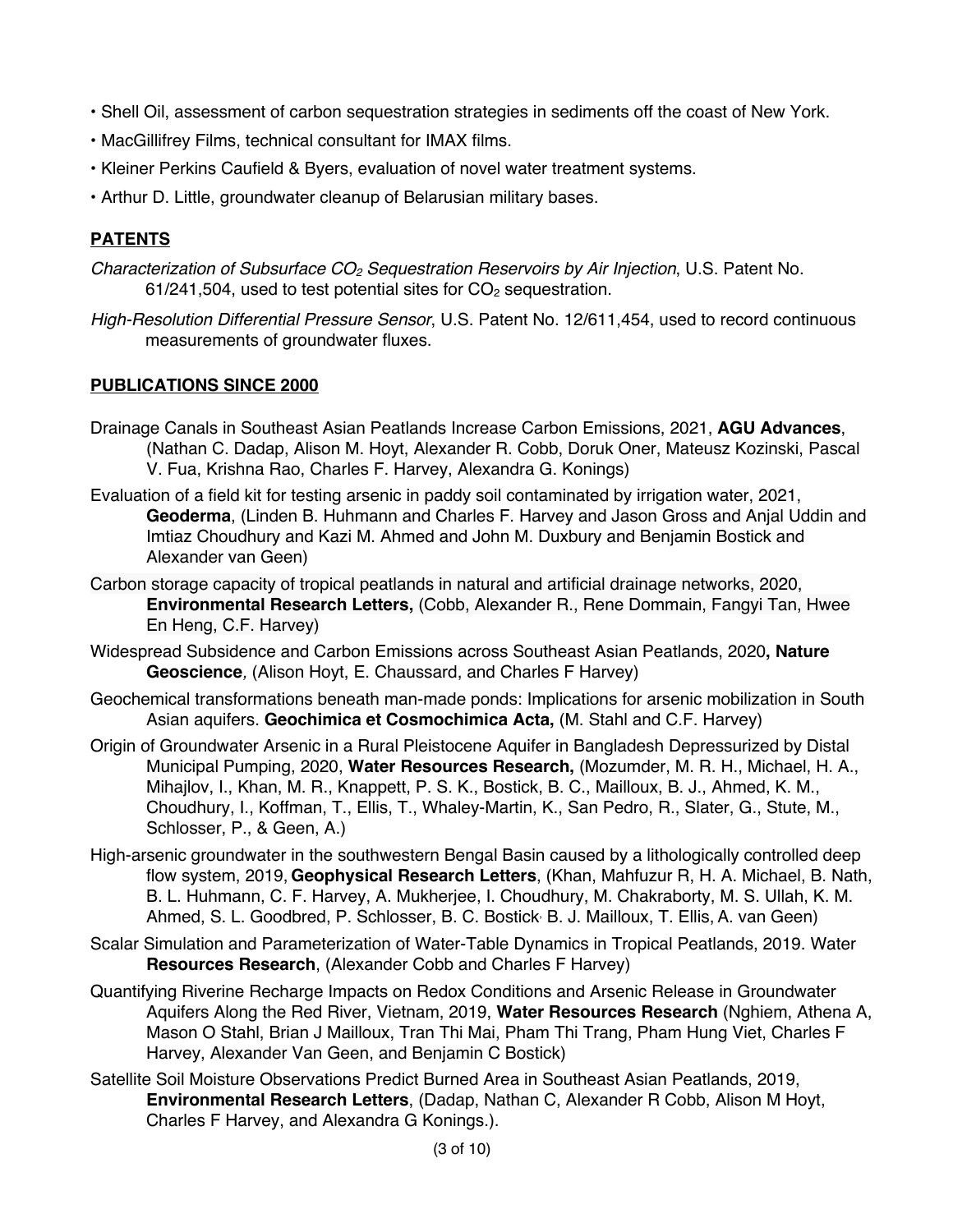- Shell Oil, assessment of carbon sequestration strategies in sediments off the coast of New York.
- MacGillifrey Films, technical consultant for IMAX films.
- Kleiner Perkins Caufield & Byers, evaluation of novel water treatment systems.
- Arthur D. Little, groundwater cleanup of Belarusian military bases.

# **PATENTS**

- *Characterization of Subsurface CO2 Sequestration Reservoirs by Air Injection*, U.S. Patent No.  $61/241,504$ , used to test potential sites for  $CO<sub>2</sub>$  sequestration.
- *High-Resolution Differential Pressure Sensor*, U.S. Patent No. 12/611,454, used to record continuous measurements of groundwater fluxes.

## **PUBLICATIONS SINCE 2000**

- Drainage Canals in Southeast Asian Peatlands Increase Carbon Emissions, 2021, **AGU Advances**, (Nathan C. Dadap, Alison M. Hoyt, Alexander R. Cobb, Doruk Oner, Mateusz Kozinski, Pascal V. Fua, Krishna Rao, Charles F. Harvey, Alexandra G. Konings)
- Evaluation of a field kit for testing arsenic in paddy soil contaminated by irrigation water, 2021, **Geoderma**, (Linden B. Huhmann and Charles F. Harvey and Jason Gross and Anjal Uddin and Imtiaz Choudhury and Kazi M. Ahmed and John M. Duxbury and Benjamin Bostick and Alexander van Geen)
- Carbon storage capacity of tropical peatlands in natural and artificial drainage networks, 2020, **Environmental Research Letters,** (Cobb, Alexander R., Rene Dommain, Fangyi Tan, Hwee En Heng, C.F. Harvey)
- Widespread Subsidence and Carbon Emissions across Southeast Asian Peatlands, 2020**, Nature Geoscience***,* (Alison Hoyt, E. Chaussard, and Charles F Harvey)
- Geochemical transformations beneath man-made ponds: Implications for arsenic mobilization in South Asian aquifers. **Geochimica et Cosmochimica Acta,** (M. Stahl and C.F. Harvey)
- Origin of Groundwater Arsenic in a Rural Pleistocene Aquifer in Bangladesh Depressurized by Distal Municipal Pumping, 2020, **Water Resources Research,** (Mozumder, M. R. H., Michael, H. A., Mihajlov, I., Khan, M. R., Knappett, P. S. K., Bostick, B. C., Mailloux, B. J., Ahmed, K. M., Choudhury, I., Koffman, T., Ellis, T., Whaley‐Martin, K., San Pedro, R., Slater, G., Stute, M., Schlosser, P., & Geen, A.)
- High-arsenic groundwater in the southwestern Bengal Basin caused by a lithologically controlled deep flow system, 2019, **Geophysical Research Letters**, (Khan, Mahfuzur R, H. A. Michael, B. Nath, B. L. Huhmann, C. F. Harvey, A. Mukherjee, I. Choudhury, M. Chakraborty, M. S. Ullah, K. M. Ahmed, S. L. Goodbred, P. Schlosser, B. C. Bostick, B. J. Mailloux, T. Ellis, A. van Geen)
- Scalar Simulation and Parameterization of Water‐Table Dynamics in Tropical Peatlands, 2019. Water **Resources Research**, (Alexander Cobb and Charles F Harvey)
- Quantifying Riverine Recharge Impacts on Redox Conditions and Arsenic Release in Groundwater Aquifers Along the Red River, Vietnam, 2019, **Water Resources Research** (Nghiem, Athena A, Mason O Stahl, Brian J Mailloux, Tran Thi Mai, Pham Thi Trang, Pham Hung Viet, Charles F Harvey, Alexander Van Geen, and Benjamin C Bostick)
- Satellite Soil Moisture Observations Predict Burned Area in Southeast Asian Peatlands, 2019, **Environmental Research Letters**, (Dadap, Nathan C, Alexander R Cobb, Alison M Hoyt, Charles F Harvey, and Alexandra G Konings.).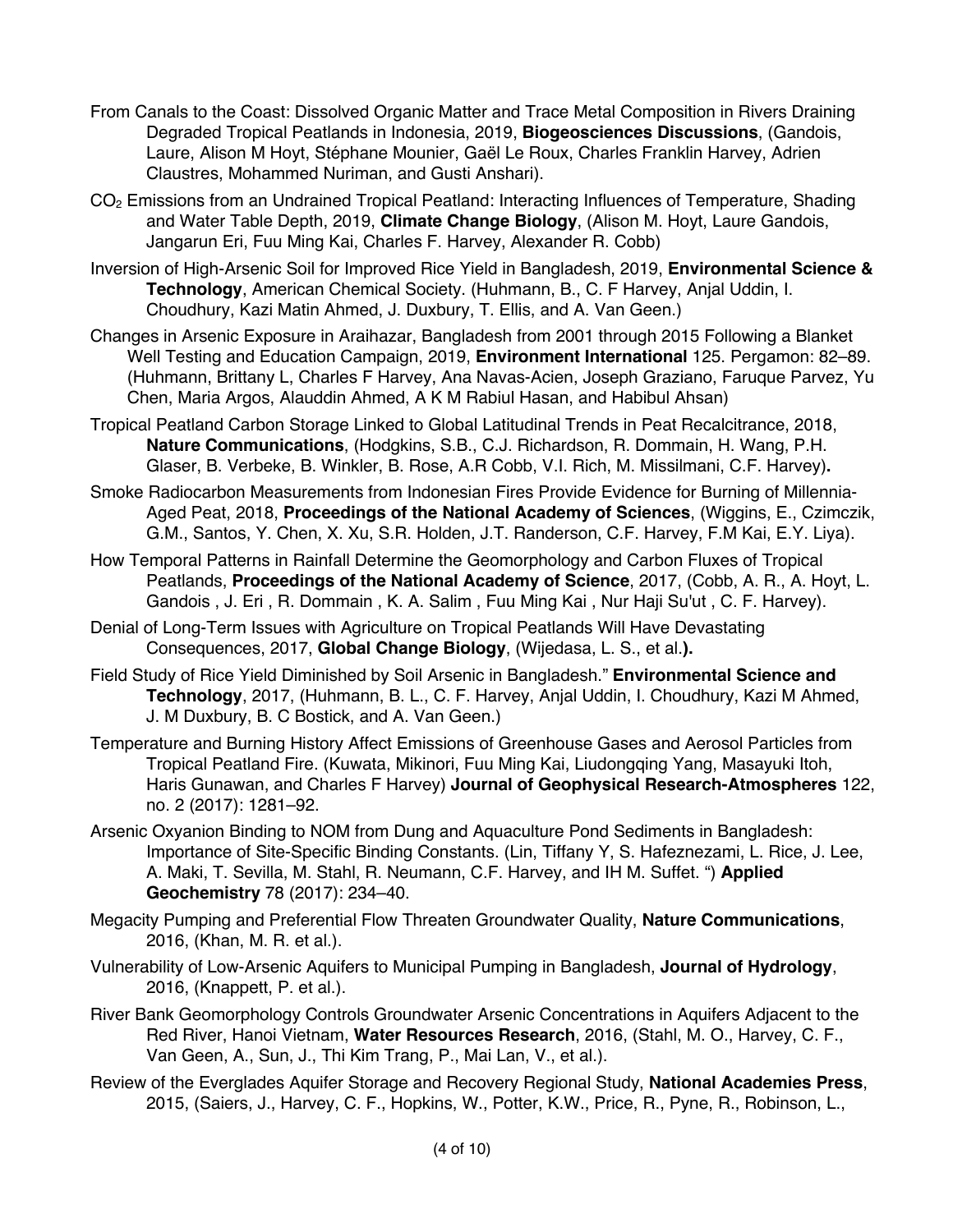- From Canals to the Coast: Dissolved Organic Matter and Trace Metal Composition in Rivers Draining Degraded Tropical Peatlands in Indonesia, 2019, **Biogeosciences Discussions**, (Gandois, Laure, Alison M Hoyt, Stéphane Mounier, Gaël Le Roux, Charles Franklin Harvey, Adrien Claustres, Mohammed Nuriman, and Gusti Anshari).
- CO2 Emissions from an Undrained Tropical Peatland: Interacting Influences of Temperature, Shading and Water Table Depth, 2019, **Climate Change Biology**, (Alison M. Hoyt, Laure Gandois, Jangarun Eri, Fuu Ming Kai, Charles F. Harvey, Alexander R. Cobb)
- Inversion of High-Arsenic Soil for Improved Rice Yield in Bangladesh, 2019, **Environmental Science & Technology**, American Chemical Society. (Huhmann, B., C. F Harvey, Anjal Uddin, I. Choudhury, Kazi Matin Ahmed, J. Duxbury, T. Ellis, and A. Van Geen.)
- Changes in Arsenic Exposure in Araihazar, Bangladesh from 2001 through 2015 Following a Blanket Well Testing and Education Campaign, 2019, **Environment International** 125. Pergamon: 82–89. (Huhmann, Brittany L, Charles F Harvey, Ana Navas-Acien, Joseph Graziano, Faruque Parvez, Yu Chen, Maria Argos, Alauddin Ahmed, A K M Rabiul Hasan, and Habibul Ahsan)
- Tropical Peatland Carbon Storage Linked to Global Latitudinal Trends in Peat Recalcitrance, 2018, **Nature Communications**, (Hodgkins, S.B., C.J. Richardson, R. Dommain, H. Wang, P.H. Glaser, B. Verbeke, B. Winkler, B. Rose, A.R Cobb, V.I. Rich, M. Missilmani, C.F. Harvey)**.**
- Smoke Radiocarbon Measurements from Indonesian Fires Provide Evidence for Burning of Millennia-Aged Peat, 2018, **Proceedings of the National Academy of Sciences**, (Wiggins, E., Czimczik, G.M., Santos, Y. Chen, X. Xu, S.R. Holden, J.T. Randerson, C.F. Harvey, F.M Kai, E.Y. Liya).
- How Temporal Patterns in Rainfall Determine the Geomorphology and Carbon Fluxes of Tropical Peatlands, **Proceedings of the National Academy of Science**, 2017, (Cobb, A. R., A. Hoyt, L. Gandois , J. Eri , R. Dommain , K. A. Salim , Fuu Ming Kai , Nur Haji Su'ut , C. F. Harvey).
- Denial of Long‐Term Issues with Agriculture on Tropical Peatlands Will Have Devastating Consequences, 2017, **Global Change Biology**, (Wijedasa, L. S., et al.**).**
- Field Study of Rice Yield Diminished by Soil Arsenic in Bangladesh." **Environmental Science and Technology**, 2017, (Huhmann, B. L., C. F. Harvey, Anjal Uddin, I. Choudhury, Kazi M Ahmed, J. M Duxbury, B. C Bostick, and A. Van Geen.)
- Temperature and Burning History Affect Emissions of Greenhouse Gases and Aerosol Particles from Tropical Peatland Fire. (Kuwata, Mikinori, Fuu Ming Kai, Liudongqing Yang, Masayuki Itoh, Haris Gunawan, and Charles F Harvey) **Journal of Geophysical Research-Atmospheres** 122, no. 2 (2017): 1281–92.
- Arsenic Oxyanion Binding to NOM from Dung and Aquaculture Pond Sediments in Bangladesh: Importance of Site-Specific Binding Constants. (Lin, Tiffany Y, S. Hafeznezami, L. Rice, J. Lee, A. Maki, T. Sevilla, M. Stahl, R. Neumann, C.F. Harvey, and IH M. Suffet. ") **Applied Geochemistry** 78 (2017): 234–40.
- Megacity Pumping and Preferential Flow Threaten Groundwater Quality, **Nature Communications**, 2016, (Khan, M. R. et al.).
- Vulnerability of Low-Arsenic Aquifers to Municipal Pumping in Bangladesh, **Journal of Hydrology**, 2016, (Knappett, P. et al.).
- River Bank Geomorphology Controls Groundwater Arsenic Concentrations in Aquifers Adjacent to the Red River, Hanoi Vietnam, **Water Resources Research**, 2016, (Stahl, M. O., Harvey, C. F., Van Geen, A., Sun, J., Thi Kim Trang, P., Mai Lan, V., et al.).
- Review of the Everglades Aquifer Storage and Recovery Regional Study, **National Academies Press**, 2015, (Saiers, J., Harvey, C. F., Hopkins, W., Potter, K.W., Price, R., Pyne, R., Robinson, L.,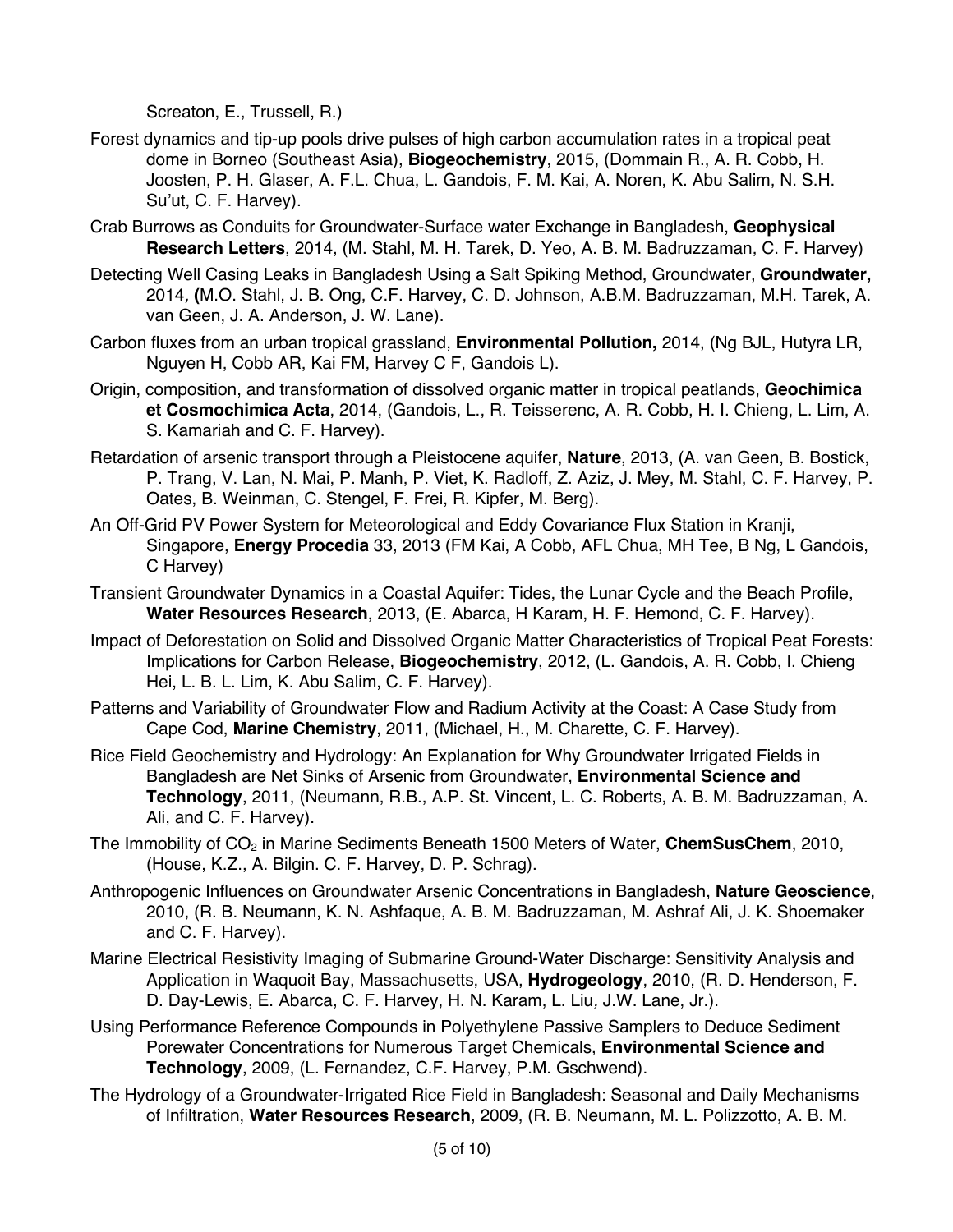Screaton, E., Trussell, R.)

- Forest dynamics and tip-up pools drive pulses of high carbon accumulation rates in a tropical peat dome in Borneo (Southeast Asia), **Biogeochemistry**, 2015, (Dommain R., A. R. Cobb, H. Joosten, P. H. Glaser, A. F.L. Chua, L. Gandois, F. M. Kai, A. Noren, K. Abu Salim, N. S.H. Su'ut, C. F. Harvey).
- Crab Burrows as Conduits for Groundwater-Surface water Exchange in Bangladesh, **Geophysical Research Letters**, 2014, (M. Stahl, M. H. Tarek, D. Yeo, A. B. M. Badruzzaman, C. F. Harvey)
- Detecting Well Casing Leaks in Bangladesh Using a Salt Spiking Method, Groundwater, **Groundwater,**  2014*,* **(**M.O. Stahl, J. B. Ong, C.F. Harvey, C. D. Johnson, A.B.M. Badruzzaman, M.H. Tarek, A. van Geen, J. A. Anderson, J. W. Lane).
- Carbon fluxes from an urban tropical grassland, **Environmental Pollution,** 2014, (Ng BJL, Hutyra LR, Nguyen H, Cobb AR, Kai FM, Harvey C F, Gandois L).
- Origin, composition, and transformation of dissolved organic matter in tropical peatlands, **Geochimica et Cosmochimica Acta**, 2014, (Gandois, L., R. Teisserenc, A. R. Cobb, H. I. Chieng, L. Lim, A. S. Kamariah and C. F. Harvey).
- Retardation of arsenic transport through a Pleistocene aquifer, **Nature**, 2013, (A. van Geen, B. Bostick, P. Trang, V. Lan, N. Mai, P. Manh, P. Viet, K. Radloff, Z. Aziz, J. Mey, M. Stahl, C. F. Harvey, P. Oates, B. Weinman, C. Stengel, F. Frei, R. Kipfer, M. Berg).
- An Off-Grid PV Power System for Meteorological and Eddy Covariance Flux Station in Kranji, Singapore, **Energy Procedia** 33, 2013 (FM Kai, A Cobb, AFL Chua, MH Tee, B Ng, L Gandois, C Harvey)
- Transient Groundwater Dynamics in a Coastal Aquifer: Tides, the Lunar Cycle and the Beach Profile, **Water Resources Research**, 2013, (E. Abarca, H Karam, H. F. Hemond, C. F. Harvey).
- Impact of Deforestation on Solid and Dissolved Organic Matter Characteristics of Tropical Peat Forests: Implications for Carbon Release, **Biogeochemistry**, 2012, (L. Gandois, A. R. Cobb, I. Chieng Hei, L. B. L. Lim, K. Abu Salim, C. F. Harvey).
- Patterns and Variability of Groundwater Flow and Radium Activity at the Coast: A Case Study from Cape Cod, **Marine Chemistry**, 2011, (Michael, H., M. Charette, C. F. Harvey).
- Rice Field Geochemistry and Hydrology: An Explanation for Why Groundwater Irrigated Fields in Bangladesh are Net Sinks of Arsenic from Groundwater, **Environmental Science and Technology**, 2011, (Neumann, R.B., A.P. St. Vincent, L. C. Roberts, A. B. M. Badruzzaman, A. Ali, and C. F. Harvey).
- The Immobility of CO<sub>2</sub> in Marine Sediments Beneath 1500 Meters of Water, ChemSusChem, 2010, (House, K.Z., A. Bilgin. C. F. Harvey, D. P. Schrag).
- Anthropogenic Influences on Groundwater Arsenic Concentrations in Bangladesh, **Nature Geoscience**, 2010, (R. B. Neumann, K. N. Ashfaque, A. B. M. Badruzzaman, M. Ashraf Ali, J. K. Shoemaker and C. F. Harvey).
- Marine Electrical Resistivity Imaging of Submarine Ground-Water Discharge: Sensitivity Analysis and Application in Waquoit Bay, Massachusetts, USA, **Hydrogeology**, 2010, (R. D. Henderson, F. D. Day-Lewis, E. Abarca, C. F. Harvey, H. N. Karam, L. Liu*,* J.W. Lane, Jr.).
- Using Performance Reference Compounds in Polyethylene Passive Samplers to Deduce Sediment Porewater Concentrations for Numerous Target Chemicals, **Environmental Science and Technology**, 2009, (L. Fernandez, C.F. Harvey, P.M. Gschwend).
- The Hydrology of a Groundwater-Irrigated Rice Field in Bangladesh: Seasonal and Daily Mechanisms of Infiltration, **Water Resources Research**, 2009, (R. B. Neumann, M. L. Polizzotto, A. B. M.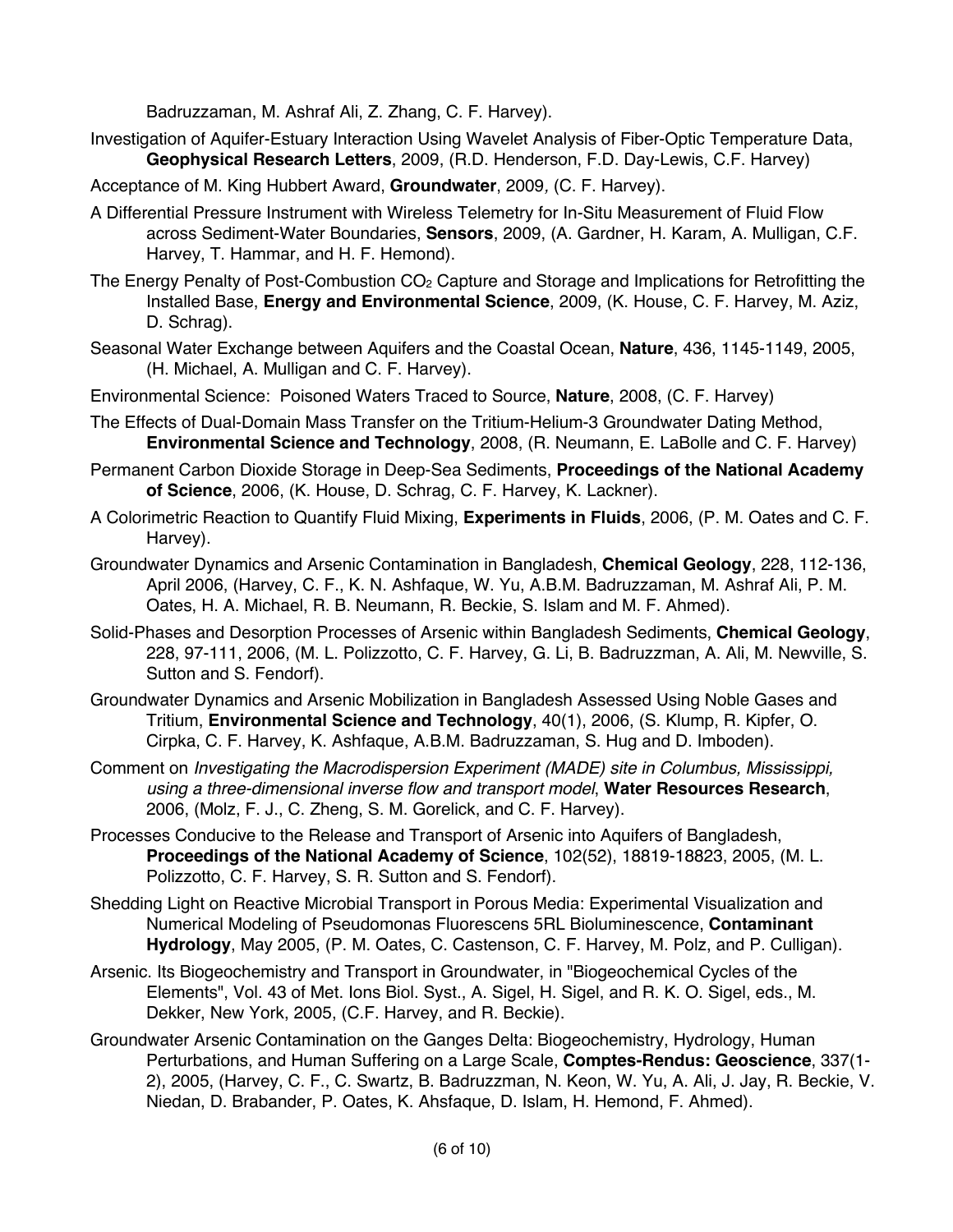Badruzzaman, M. Ashraf Ali, Z. Zhang, C. F. Harvey).

- Investigation of Aquifer-Estuary Interaction Using Wavelet Analysis of Fiber-Optic Temperature Data, **Geophysical Research Letters**, 2009, (R.D. Henderson, F.D. Day-Lewis, C.F. Harvey)
- Acceptance of M. King Hubbert Award, **Groundwater**, 2009*,* (C. F. Harvey).
- A Differential Pressure Instrument with Wireless Telemetry for In-Situ Measurement of Fluid Flow across Sediment-Water Boundaries, **Sensors**, 2009, (A. Gardner, H. Karam, A. Mulligan, C.F. Harvey, T. Hammar, and H. F. Hemond).
- The Energy Penalty of Post-Combustion  $CO<sub>2</sub>$  Capture and Storage and Implications for Retrofitting the Installed Base, **Energy and Environmental Science**, 2009, (K. House, C. F. Harvey, M. Aziz, D. Schrag).
- Seasonal Water Exchange between Aquifers and the Coastal Ocean, **Nature**, 436, 1145-1149, 2005, (H. Michael, A. Mulligan and C. F. Harvey).
- Environmental Science: Poisoned Waters Traced to Source, **Nature**, 2008, (C. F. Harvey)
- The Effects of Dual-Domain Mass Transfer on the Tritium-Helium-3 Groundwater Dating Method, **Environmental Science and Technology**, 2008, (R. Neumann, E. LaBolle and C. F. Harvey)
- Permanent Carbon Dioxide Storage in Deep-Sea Sediments, **Proceedings of the National Academy of Science**, 2006, (K. House, D. Schrag, C. F. Harvey, K. Lackner).
- A Colorimetric Reaction to Quantify Fluid Mixing, **Experiments in Fluids**, 2006, (P. M. Oates and C. F. Harvey).
- Groundwater Dynamics and Arsenic Contamination in Bangladesh, **Chemical Geology**, 228, 112-136, April 2006, (Harvey, C. F., K. N. Ashfaque, W. Yu, A.B.M. Badruzzaman, M. Ashraf Ali, P. M. Oates, H. A. Michael, R. B. Neumann, R. Beckie, S. Islam and M. F. Ahmed).
- Solid-Phases and Desorption Processes of Arsenic within Bangladesh Sediments, **Chemical Geology**, 228, 97-111, 2006, (M. L. Polizzotto, C. F. Harvey, G. Li, B. Badruzzman, A. Ali, M. Newville, S. Sutton and S. Fendorf).
- Groundwater Dynamics and Arsenic Mobilization in Bangladesh Assessed Using Noble Gases and Tritium, **Environmental Science and Technology**, 40(1), 2006, (S. Klump, R. Kipfer, O. Cirpka, C. F. Harvey, K. Ashfaque, A.B.M. Badruzzaman, S. Hug and D. Imboden).
- Comment on *Investigating the Macrodispersion Experiment (MADE) site in Columbus, Mississippi, using a three-dimensional inverse flow and transport model*, **Water Resources Research**, 2006, (Molz, F. J., C. Zheng, S. M. Gorelick, and C. F. Harvey).
- Processes Conducive to the Release and Transport of Arsenic into Aquifers of Bangladesh, **Proceedings of the National Academy of Science**, 102(52), 18819-18823, 2005, (M. L. Polizzotto, C. F. Harvey, S. R. Sutton and S. Fendorf).
- Shedding Light on Reactive Microbial Transport in Porous Media: Experimental Visualization and Numerical Modeling of Pseudomonas Fluorescens 5RL Bioluminescence, **Contaminant Hydrology**, May 2005, (P. M. Oates, C. Castenson, C. F. Harvey, M. Polz, and P. Culligan).
- Arsenic. Its Biogeochemistry and Transport in Groundwater, in "Biogeochemical Cycles of the Elements", Vol. 43 of Met. Ions Biol. Syst., A. Sigel, H. Sigel, and R. K. O. Sigel, eds., M. Dekker, New York, 2005, (C.F. Harvey, and R. Beckie).
- Groundwater Arsenic Contamination on the Ganges Delta: Biogeochemistry, Hydrology, Human Perturbations, and Human Suffering on a Large Scale, **Comptes-Rendus: Geoscience**, 337(1- 2), 2005, (Harvey, C. F., C. Swartz, B. Badruzzman, N. Keon, W. Yu, A. Ali, J. Jay, R. Beckie, V. Niedan, D. Brabander, P. Oates, K. Ahsfaque, D. Islam, H. Hemond, F. Ahmed).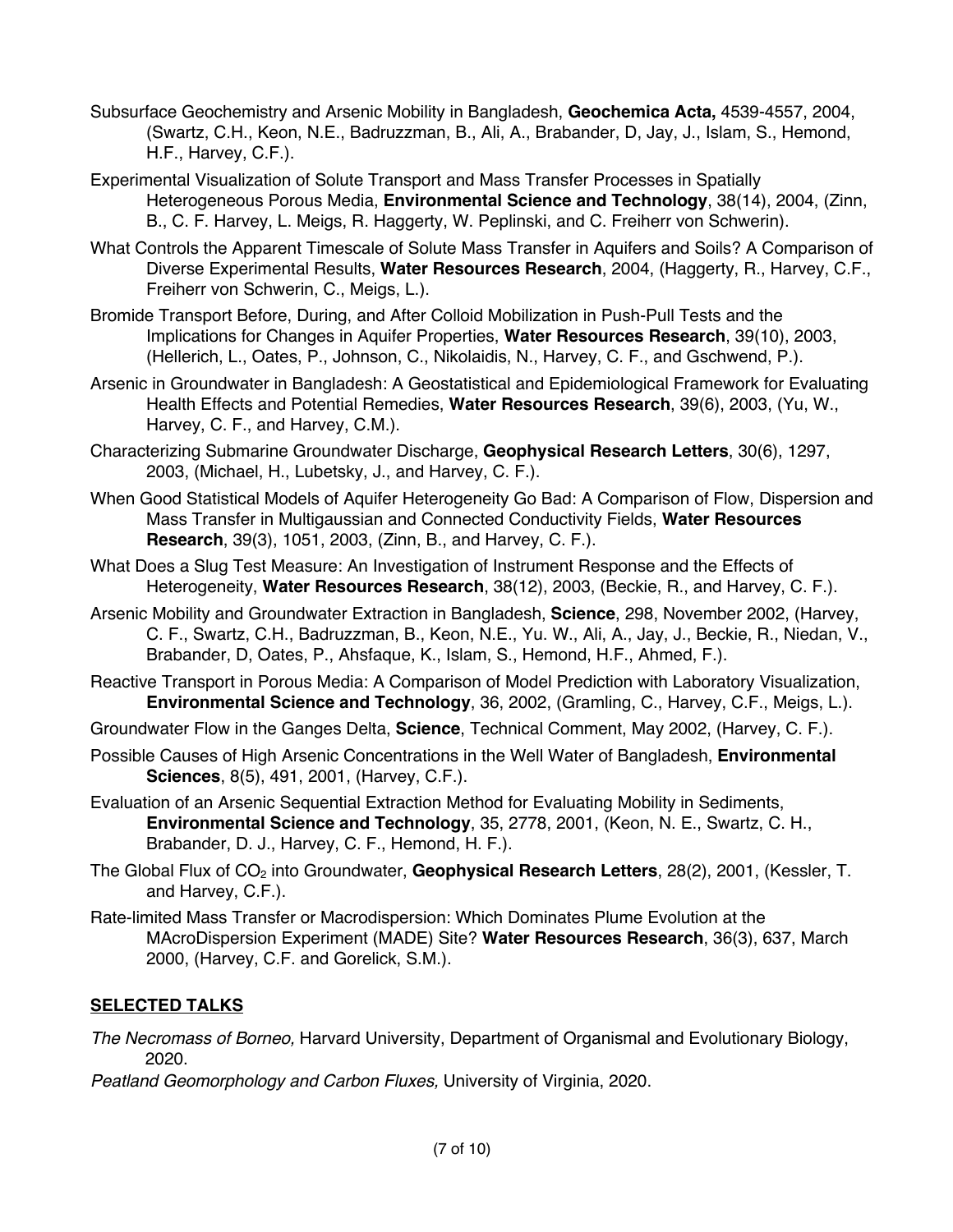- Subsurface Geochemistry and Arsenic Mobility in Bangladesh, **Geochemica Acta,** 4539-4557, 2004, (Swartz, C.H., Keon, N.E., Badruzzman, B., Ali, A., Brabander, D, Jay, J., Islam, S., Hemond, H.F., Harvey, C.F.).
- Experimental Visualization of Solute Transport and Mass Transfer Processes in Spatially Heterogeneous Porous Media, **Environmental Science and Technology**, 38(14), 2004, (Zinn, B., C. F. Harvey, L. Meigs, R. Haggerty, W. Peplinski, and C. Freiherr von Schwerin).
- What Controls the Apparent Timescale of Solute Mass Transfer in Aquifers and Soils? A Comparison of Diverse Experimental Results, **Water Resources Research**, 2004, (Haggerty, R., Harvey, C.F., Freiherr von Schwerin, C., Meigs, L.).
- Bromide Transport Before, During, and After Colloid Mobilization in Push-Pull Tests and the Implications for Changes in Aquifer Properties, **Water Resources Research**, 39(10), 2003, (Hellerich, L., Oates, P., Johnson, C., Nikolaidis, N., Harvey, C. F., and Gschwend, P.).
- Arsenic in Groundwater in Bangladesh: A Geostatistical and Epidemiological Framework for Evaluating Health Effects and Potential Remedies, **Water Resources Research**, 39(6), 2003, (Yu, W., Harvey, C. F., and Harvey, C.M.).
- Characterizing Submarine Groundwater Discharge, **Geophysical Research Letters**, 30(6), 1297, 2003, (Michael, H., Lubetsky, J., and Harvey, C. F.).
- When Good Statistical Models of Aquifer Heterogeneity Go Bad: A Comparison of Flow, Dispersion and Mass Transfer in Multigaussian and Connected Conductivity Fields, **Water Resources Research**, 39(3), 1051, 2003, (Zinn, B., and Harvey, C. F.).
- What Does a Slug Test Measure: An Investigation of Instrument Response and the Effects of Heterogeneity, **Water Resources Research**, 38(12), 2003, (Beckie, R., and Harvey, C. F.).
- Arsenic Mobility and Groundwater Extraction in Bangladesh, **Science**, 298, November 2002, (Harvey, C. F., Swartz, C.H., Badruzzman, B., Keon, N.E., Yu. W., Ali, A., Jay, J., Beckie, R., Niedan, V., Brabander, D, Oates, P., Ahsfaque, K., Islam, S., Hemond, H.F., Ahmed, F.).
- Reactive Transport in Porous Media: A Comparison of Model Prediction with Laboratory Visualization, **Environmental Science and Technology**, 36, 2002, (Gramling, C., Harvey, C.F., Meigs, L.).
- Groundwater Flow in the Ganges Delta, **Science**, Technical Comment, May 2002, (Harvey, C. F.).
- Possible Causes of High Arsenic Concentrations in the Well Water of Bangladesh, **Environmental Sciences**, 8(5), 491, 2001, (Harvey, C.F.).
- Evaluation of an Arsenic Sequential Extraction Method for Evaluating Mobility in Sediments, **Environmental Science and Technology**, 35, 2778, 2001, (Keon, N. E., Swartz, C. H., Brabander, D. J., Harvey, C. F., Hemond, H. F.).
- The Global Flux of CO<sub>2</sub> into Groundwater, Geophysical Research Letters, 28(2), 2001, (Kessler, T. and Harvey, C.F.).
- Rate-limited Mass Transfer or Macrodispersion: Which Dominates Plume Evolution at the MAcroDispersion Experiment (MADE) Site? **Water Resources Research**, 36(3), 637, March 2000, (Harvey, C.F. and Gorelick, S.M.).

# **SELECTED TALKS**

- *The Necromass of Borneo,* Harvard University, Department of Organismal and Evolutionary Biology, 2020.
- *Peatland Geomorphology and Carbon Fluxes,* University of Virginia, 2020.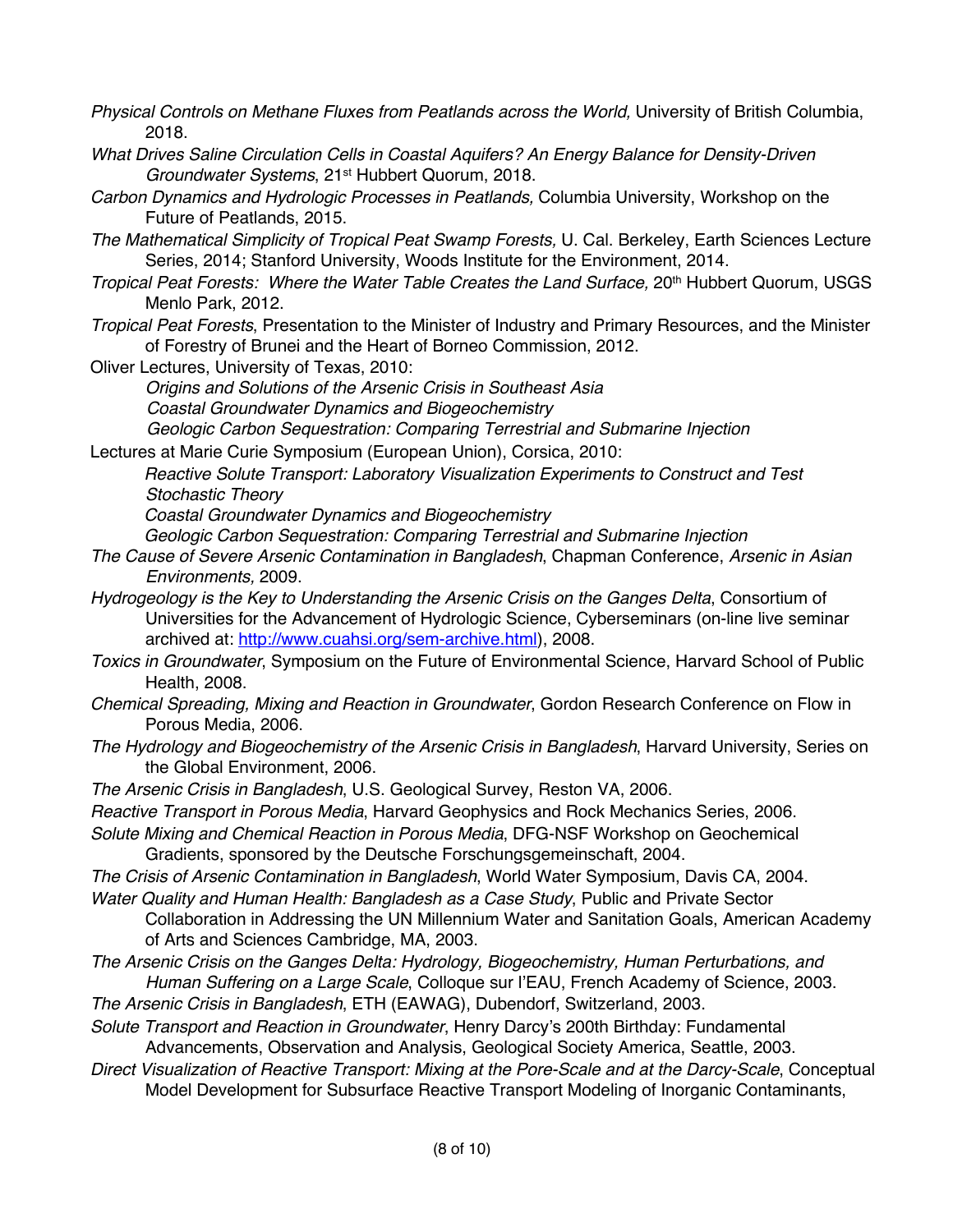- *Physical Controls on Methane Fluxes from Peatlands across the World,* University of British Columbia, 2018.
- *What Drives Saline Circulation Cells in Coastal Aquifers? An Energy Balance for Density-Driven Groundwater Systems*, 21st Hubbert Quorum, 2018.
- *Carbon Dynamics and Hydrologic Processes in Peatlands,* Columbia University, Workshop on the Future of Peatlands, 2015.
- *The Mathematical Simplicity of Tropical Peat Swamp Forests,* U. Cal. Berkeley, Earth Sciences Lecture Series, 2014; Stanford University, Woods Institute for the Environment, 2014.
- *Tropical Peat Forests: Where the Water Table Creates the Land Surface,* 20th Hubbert Quorum, USGS Menlo Park, 2012.
- *Tropical Peat Forests*, Presentation to the Minister of Industry and Primary Resources, and the Minister of Forestry of Brunei and the Heart of Borneo Commission, 2012.
- Oliver Lectures, University of Texas, 2010:

*Origins and Solutions of the Arsenic Crisis in Southeast Asia Coastal Groundwater Dynamics and Biogeochemistry Geologic Carbon Sequestration: Comparing Terrestrial and Submarine Injection*

Lectures at Marie Curie Symposium (European Union), Corsica, 2010:

*Reactive Solute Transport: Laboratory Visualization Experiments to Construct and Test Stochastic Theory* 

*Coastal Groundwater Dynamics and Biogeochemistry* 

*Geologic Carbon Sequestration: Comparing Terrestrial and Submarine Injection*

- *The Cause of Severe Arsenic Contamination in Bangladesh*, Chapman Conference, *Arsenic in Asian Environments,* 2009.
- *Hydrogeology is the Key to Understanding the Arsenic Crisis on the Ganges Delta*, Consortium of Universities for the Advancement of Hydrologic Science, Cyberseminars (on-line live seminar archived at: http://www.cuahsi.org/sem-archive.html), 2008.
- *Toxics in Groundwater*, Symposium on the Future of Environmental Science, Harvard School of Public Health, 2008.
- *Chemical Spreading, Mixing and Reaction in Groundwater*, Gordon Research Conference on Flow in Porous Media, 2006.
- *The Hydrology and Biogeochemistry of the Arsenic Crisis in Bangladesh*, Harvard University, Series on the Global Environment, 2006.
- *The Arsenic Crisis in Bangladesh*, U.S. Geological Survey, Reston VA, 2006.
- *Reactive Transport in Porous Media*, Harvard Geophysics and Rock Mechanics Series, 2006.
- *Solute Mixing and Chemical Reaction in Porous Media*, DFG-NSF Workshop on Geochemical Gradients, sponsored by the Deutsche Forschungsgemeinschaft, 2004.
- *The Crisis of Arsenic Contamination in Bangladesh*, World Water Symposium, Davis CA, 2004.
- *Water Quality and Human Health: Bangladesh as a Case Study*, Public and Private Sector Collaboration in Addressing the UN Millennium Water and Sanitation Goals, American Academy of Arts and Sciences Cambridge, MA, 2003.
- *The Arsenic Crisis on the Ganges Delta: Hydrology, Biogeochemistry, Human Perturbations, and Human Suffering on a Large Scale*, Colloque sur l'EAU, French Academy of Science, 2003.
- *The Arsenic Crisis in Bangladesh*, ETH (EAWAG), Dubendorf, Switzerland, 2003.
- *Solute Transport and Reaction in Groundwater*, Henry Darcy's 200th Birthday: Fundamental Advancements, Observation and Analysis, Geological Society America, Seattle, 2003.
- *Direct Visualization of Reactive Transport: Mixing at the Pore-Scale and at the Darcy-Scale*, Conceptual Model Development for Subsurface Reactive Transport Modeling of Inorganic Contaminants,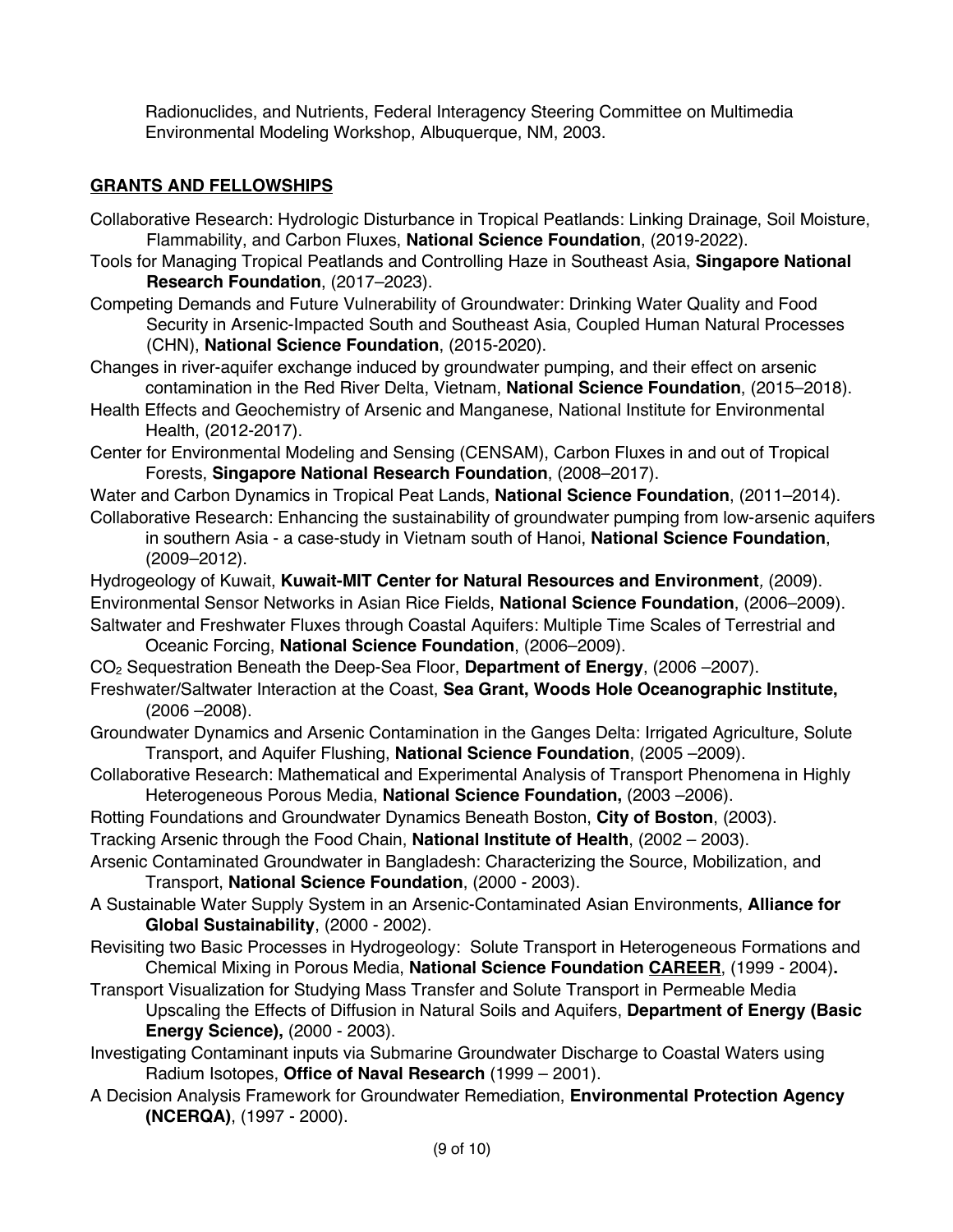Radionuclides, and Nutrients, Federal Interagency Steering Committee on Multimedia Environmental Modeling Workshop, Albuquerque, NM, 2003.

# **GRANTS AND FELLOWSHIPS**

- Collaborative Research: Hydrologic Disturbance in Tropical Peatlands: Linking Drainage, Soil Moisture, Flammability, and Carbon Fluxes, **National Science Foundation**, (2019-2022).
- Tools for Managing Tropical Peatlands and Controlling Haze in Southeast Asia, **Singapore National Research Foundation**, (2017–2023).
- Competing Demands and Future Vulnerability of Groundwater: Drinking Water Quality and Food Security in Arsenic-Impacted South and Southeast Asia, Coupled Human Natural Processes (CHN), **National Science Foundation**, (2015-2020).
- Changes in river-aquifer exchange induced by groundwater pumping, and their effect on arsenic contamination in the Red River Delta, Vietnam, **National Science Foundation**, (2015–2018).
- Health Effects and Geochemistry of Arsenic and Manganese, National Institute for Environmental Health, (2012-2017).
- Center for Environmental Modeling and Sensing (CENSAM), Carbon Fluxes in and out of Tropical Forests, **Singapore National Research Foundation**, (2008–2017).
- Water and Carbon Dynamics in Tropical Peat Lands, **National Science Foundation**, (2011–2014).
- Collaborative Research: Enhancing the sustainability of groundwater pumping from low-arsenic aquifers in southern Asia - a case-study in Vietnam south of Hanoi, **National Science Foundation**, (2009–2012).
- Hydrogeology of Kuwait, **Kuwait-MIT Center for Natural Resources and Environment***,* (2009).
- Environmental Sensor Networks in Asian Rice Fields, **National Science Foundation**, (2006–2009).
- Saltwater and Freshwater Fluxes through Coastal Aquifers: Multiple Time Scales of Terrestrial and Oceanic Forcing, **National Science Foundation**, (2006–2009).
- CO2 Sequestration Beneath the Deep-Sea Floor, **Department of Energy**, (2006 –2007).
- Freshwater/Saltwater Interaction at the Coast, **Sea Grant, Woods Hole Oceanographic Institute,**  (2006 –2008).
- Groundwater Dynamics and Arsenic Contamination in the Ganges Delta: Irrigated Agriculture, Solute Transport, and Aquifer Flushing, **National Science Foundation**, (2005 –2009).
- Collaborative Research: Mathematical and Experimental Analysis of Transport Phenomena in Highly Heterogeneous Porous Media, **National Science Foundation,** (2003 –2006).
- Rotting Foundations and Groundwater Dynamics Beneath Boston, **City of Boston**, (2003).
- Tracking Arsenic through the Food Chain, **National Institute of Health**, (2002 2003).
- Arsenic Contaminated Groundwater in Bangladesh: Characterizing the Source, Mobilization, and Transport, **National Science Foundation**, (2000 - 2003).
- A Sustainable Water Supply System in an Arsenic-Contaminated Asian Environments, **Alliance for Global Sustainability**, (2000 - 2002).
- Revisiting two Basic Processes in Hydrogeology: Solute Transport in Heterogeneous Formations and Chemical Mixing in Porous Media, **National Science Foundation CAREER**, (1999 - 2004)**.**
- Transport Visualization for Studying Mass Transfer and Solute Transport in Permeable Media Upscaling the Effects of Diffusion in Natural Soils and Aquifers, **Department of Energy (Basic Energy Science),** (2000 - 2003).
- Investigating Contaminant inputs via Submarine Groundwater Discharge to Coastal Waters using Radium Isotopes, **Office of Naval Research** (1999 – 2001).
- A Decision Analysis Framework for Groundwater Remediation, **Environmental Protection Agency (NCERQA)**, (1997 - 2000).